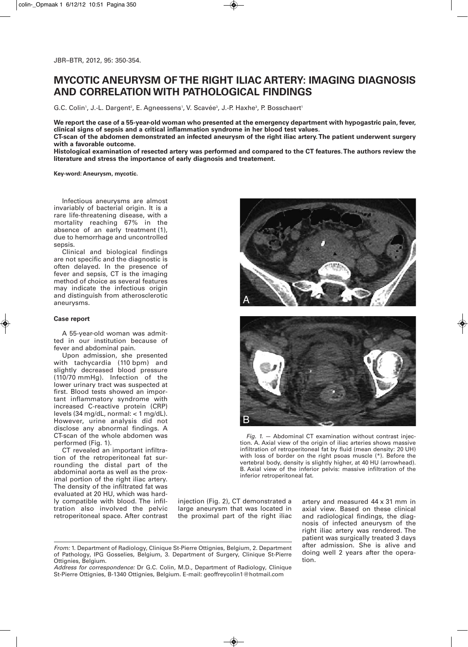# **MYCOTIC ANEURYSM OF THE RIGHT ILIAC ARTERY: IMAGING DIAGNOSIS AND CORRELATION WITH PATHOLOGICAL FINDINGS**

G.C. Colin<sup>1</sup>, J.-L. Dargent<sup>2</sup>, E. Agneessens<sup>1</sup>, V. Scavée<sup>3</sup>, J.-P. Haxhe<sup>3</sup>, P. Bosschaert<sup>1</sup>

We report the case of a 55-year-old woman who presented at the emergency department with hypogastric pain, fever, **clinical signs of sepsis and a critical inflammation syndrome in her blood test values.**

**CT-scan of the abdomen demonstrated an infected aneurysm of the right iliac artery.The patient underwent surgery with a favorable outcome.**

**Histological examination of resected artery was performed and compared to the CT features.The authors review the literature and stress the importance of early diagnosis and treatement.**

**Key-word: Aneurysm, mycotic.**

Infectious aneurysms are almost invariably of bacterial origin. It is a rare life-threatening disease, with a mortality reaching 67% in the absence of an early treatment (1), due to hemorrhage and uncontrolled sepsis.

Clinical and biological findings are not specific and the diagnostic is often delayed. In the presence of fever and sepsis, CT is the imaging method of choice as several features may indicate the infectious origin and distinguish from atherosclerotic aneurysms.

## **Case report**

A 55-year-old woman was admitted in our institution because of fever and abdominal pain.

Upon admission, she presented with tachycardia (110 bpm) and slightly decreased blood pressure (110/70 mmHg). Infection of the lower urinary tract was suspected at first. Blood tests showed an important inflammatory syndrome with increased C-reactive protein (CRP) levels (34 mg/dL, normal: < 1 mg/dL). However, urine analysis did not disclose any abnormal findings. A CT-scan of the whole abdomen was performed (Fig. 1).

CT revealed an important infiltration of the retroperitoneal fat surrounding the distal part of the abdominal aorta as well as the proximal portion of the right iliac artery. The density of the infiltrated fat was evaluated at 20 HU, which was hardly compatible with blood. The infiltration also involved the pelvic retroperitoneal space. After contrast





*Fig. 1.* — Abdominal CT examination without contrast injection. A. Axial view of the origin of iliac arteries shows massive infiltration of retroperitoneal fat by fluid (mean density: 20 UH) with loss of border on the right psoas muscle (\*). Before the vertebral body, density is slightly higher, at 40 HU (arrowhead). B. Axial view of the inferior pelvis: massive infiltration of the inferior retroperitoneal fat.

injection (Fig. 2), CT demonstrated a large aneurysm that was located in the proximal part of the right iliac artery and measured 44 x 31 mm in axial view. Based on these clinical and radiological findings, the diagnosis of infected aneurysm of the right iliac artery was rendered. The patient was surgically treated 3 days after admission. She is alive and doing well 2 years after the operation.

*Address for correspondence:* Dr G.C. Colin, M.D., Department of Radiology, Clinique St-Pierre Ottignies, B-1340 Ottignies, Belgium. E-mail: geoffreycolin1@hotmail.com

*From:* 1. Department of Radiology, Clinique St-Pierre Ottignies, Belgium, 2. Department of Pathology, IPG Gosselies, Belgium, 3. Department of Surgery, Clinique St-Pierre Ottignies, Belgium.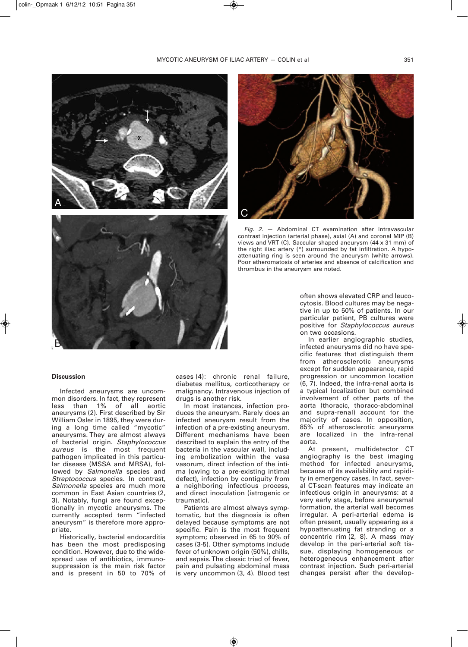

### **Discussion**

Infected aneurysms are uncommon disorders. In fact, they represent less than 1% of all aortic aneurysms (2). First described by Sir William Osler in 1895, they were during a long time called "mycotic" aneurysms. They are almost always of bacterial origin. *Staphylococcus aureus* is the most frequent pathogen implicated in this particular disease (MSSA and MRSA), followed by *Salmonella* species and *Streptococcus* species. In contrast, *Salmonella* species are much more common in East Asian countries (2, 3). Notably, fungi are found exceptionally in mycotic aneurysms. The currently accepted term "infected aneurysm" is therefore more appropriate.

Historically, bacterial endocarditis has been the most predisposing condition. However, due to the widespread use of antibiotics, immunosuppression is the main risk factor and is present in 50 to 70% of

cases (4): chronic renal failure, diabetes mellitus, corticotherapy or malignancy. Intravenous injection of drugs is another risk.

In most instances, infection produces the aneurysm. Rarely does an infected aneurysm result from the infection of a pre-existing aneurysm. Different mechanisms have been described to explain the entry of the bacteria in the vascular wall, including embolization within the vasa vasorum, direct infection of the intima (owing to a pre-existing intimal defect), infection by contiguity from a neighboring infectious process, and direct inoculation (iatrogenic or traumatic).

Patients are almost always symptomatic, but the diagnosis is often delayed because symptoms are not specific. Pain is the most frequent symptom; observed in 65 to 90% of cases (3-5). Other symptoms include fever of unknown origin (50%), chills, and sepsis.The classic triad of fever, pain and pulsating abdominal mass is very uncommon (3, 4). Blood test



*Fig. 2.* — Abdominal CT examination after intravascular contrast injection (arterial phase), axial (A) and coronal MIP (B) views and VRT (C). Saccular shaped aneurysm (44 x 31 mm) of the right iliac artery (\*) surrounded by fat infiltration. A hypoattenuating ring is seen around the aneurysm (white arrows). Poor atheromatosis of arteries and absence of calcification and thrombus in the aneurysm are noted.

often shows elevated CRP and leucocytosis. Blood cultures may be negative in up to 50% of patients. In our particular patient, PB cultures were positive for *Staphylococcus aureus* on two occasions.

In earlier angiographic studies, infected aneurysms did no have specific features that distinguish them from atherosclerotic aneurysms except for sudden appearance, rapid progression or uncommon location (6, 7). Indeed, the infra-renal aorta is a typical localization but combined involvement of other parts of the aorta (thoracic, thoraco-abdominal and supra-renal) account for the majority of cases. In opposition, 85% of atherosclerotic aneurysms are localized in the infra-renal aorta.

At present, multidetector CT angiography is the best imaging method for infected aneurysms, because of its availability and rapidity in emergency cases. In fact, several CT-scan features may indicate an infectious origin in aneurysms: at a very early stage, before aneurysmal formation, the arterial wall becomes irregular. A peri-arterial edema is often present, usually appearing as a hypoattenuating fat stranding or a concentric rim (2, 8). A mass may develop in the peri-arterial soft tissue, displaying homogeneous or heterogeneous enhancement after contrast injection. Such peri-arterial changes persist after the develop-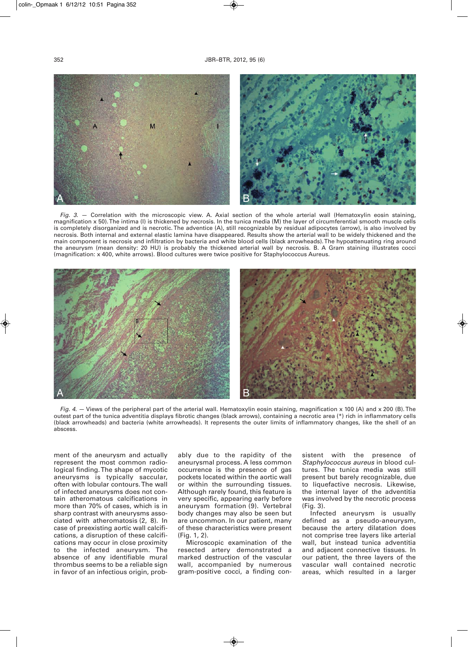

*Fig. 3.* — Correlation with the microscopic view. A. Axial section of the whole arterial wall (Hematoxylin eosin staining, magnification x 50).The intima (I) is thickened by necrosis. In the tunica media (M) the layer of circumferential smooth muscle cells is completely disorganized and is necrotic. The adventice (A), still recognizable by residual adipocytes (arrow), is also involved by necrosis. Both internal and external elastic lamina have disappeared. Results show the arterial wall to be widely thickened and the main component is necrosis and infiltration by bacteria and white blood cells (black arrowheads).The hypoattenuating ring around the aneurysm (mean density: 20 HU) is probably the thickened arterial wall by necrosis. B. A Gram staining illustrates cocci (magnification: x 400, white arrows). Blood cultures were twice positive for Staphylococcus Aureus.



*Fig. 4.* — Views of the peripheral part of the arterial wall. Hematoxylin eosin staining, magnification x 100 (A) and x 200 (B). The outest part of the tunica adventitia displays fibrotic changes (black arrows), containing a necrotic area (\*) rich in inflammatory cells (black arrowheads) and bacteria (white arrowheads). It represents the outer limits of inflammatory changes, like the shell of an abscess

ment of the aneurysm and actually represent the most common radiological finding.The shape of mycotic aneurysms is typically saccular, often with lobular contours.The wall of infected aneurysms does not contain atheromatous calcifications in more than 70% of cases, which is in sharp contrast with aneurysms associated with atheromatosis (2, 8). In case of preexisting aortic wall calcifications, a disruption of these calcifications may occur in close proximity to the infected aneurysm. The absence of any identifiable mural thrombus seems to be a reliable sign in favor of an infectious origin, probably due to the rapidity of the aneurysmal process. A less common occurrence is the presence of gas pockets located within the aortic wall or within the surrounding tissues. Although rarely found, this feature is very specific, appearing early before aneurysm formation (9). Vertebral body changes may also be seen but are uncommon. In our patient, many of these characteristics were present (Fig. 1, 2).

Microscopic examination of the resected artery demonstrated a marked destruction of the vascular wall, accompanied by numerous gram-positive cocci, a finding consistent with the presence of *Staphylococcus aureus* in blood cultures. The tunica media was still present but barely recognizable, due to liquefactive necrosis. Likewise, the internal layer of the adventitia was involved by the necrotic process (Fig. 3).

Infected aneurysm is usually defined as a pseudo-aneurysm, because the artery dilatation does not comprise tree layers like arterial wall, but instead tunica adventitia and adjacent connective tissues. In our patient, the three layers of the vascular wall contained necrotic areas, which resulted in a larger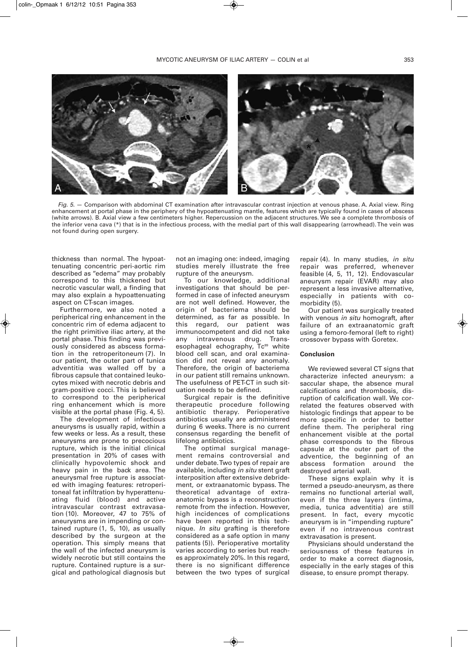

*Fig. 5.* — Comparison with abdominal CT examination after intravascular contrast injection at venous phase. A. Axial view. Ring enhancement at portal phase in the periphery of the hypoattenuating mantle, features which are typically found in cases of abscess (white arrows). B. Axial view a few centimeters higher. Repercussion on the adjacent structures. We see a complete thrombosis of the inferior vena cava (\*) that is in the infectious process, with the medial part of this wall disappearing (arrowhead).The vein was not found during open surgery.

thickness than normal. The hypoattenuating concentric peri-aortic rim described as "edema" may probably correspond to this thickened but necrotic vascular wall, a finding that may also explain a hypoattenuating aspect on CT-scan images.

Furthermore, we also noted a peripherical ring enhancement in the concentric rim of edema adjacent to the right primitive iliac artery, at the portal phase. This finding was previously considered as abscess formation in the retroperitoneum (7). In our patient, the outer part of tunica adventitia was walled off by a fibrous capsule that contained leukocytes mixed with necrotic debris and gram-positive cocci. This is believed to correspond to the peripherical ring enhancement which is more visible at the portal phase (Fig. 4, 5).

The development of infectious aneurysms is usually rapid, within a few weeks or less. As a result, these aneurysms are prone to precocious rupture, which is the initial clinical presentation in 20% of cases with clinically hypovolemic shock and heavy pain in the back area. The aneurysmal free rupture is associated with imaging features: retroperitoneal fat infiltration by hyperattenuating fluid (blood) and active intravascular contrast extravasation (10). Moreover, 47 to 75% of aneurysms are in impending or contained rupture (1, 5, 10), as usually described by the surgeon at the operation. This simply means that the wall of the infected aneurysm is widely necrotic but still contains the rupture. Contained rupture is a surgical and pathological diagnosis but

not an imaging one: indeed, imaging studies merely illustrate the free rupture of the aneurysm.

To our knowledge, additional investigations that should be performed in case of infected aneurysm are not well defined. However, the origin of bacteriema should be determined, as far as possible. In this regard, our patient was immunocompetent and did not take any intravenous drug. Transesophageal echography, Tc<sup>99</sup> white blood cell scan, and oral examination did not reveal any anomaly. Therefore, the origin of bacteriema in our patient still remains unknown. The usefulness of PET-CT in such situation needs to be defined.

Surgical repair is the definitive therapeutic procedure following antibiotic therapy. Perioperative antibiotics usually are administered during 6 weeks. There is no current consensus regarding the benefit of lifelong antibiotics.

The optimal surgical management remains controversial and under debate.Two types of repair are available, including *in situ* stent graft interposition after extensive debridement, or extraanatomic bypass. The theoretical advantage of extraanatomic bypass is a reconstruction remote from the infection. However, high incidences of complications have been reported in this technique. *In situ* grafting is therefore considered as a safe option in many patients (5)). Perioperative mortality varies according to series but reaches approximately 20%. In this regard, there is no significant difference between the two types of surgical

repair (4). In many studies, *in situ* repair was preferred, whenever feasible (4, 5, 11, 12). Endovascular aneurysm repair (EVAR) may also represent a less invasive alternative, especially in patients with comorbidity (5).

Our patient was surgically treated with venous *in situ* homograft, after failure of an extraanatomic graft using a femoro-femoral (left to right) crossover bypass with Goretex.

## **Conclusion**

We reviewed several CT signs that characterize infected aneurysm: a saccular shape, the absence mural calcifications and thrombosis, disruption of calcification wall. We correlated the features observed with histologic findings that appear to be more specific in order to better define them. The peripheral ring enhancement visible at the portal phase corresponds to the fibrous capsule at the outer part of the adventice, the beginning of an abscess formation around the destroyed arterial wall.

These signs explain why it is termed a pseudo-aneurysm, as there remains no functional arterial wall, even if the three layers (intima, media, tunica adventitia) are still present. In fact, every mycotic aneurysm is in "impending rupture" even if no intravenous contrast extravasation is present.

Physicians should understand the seriousness of these features in order to make a correct diagnosis, especially in the early stages of this disease, to ensure prompt therapy.